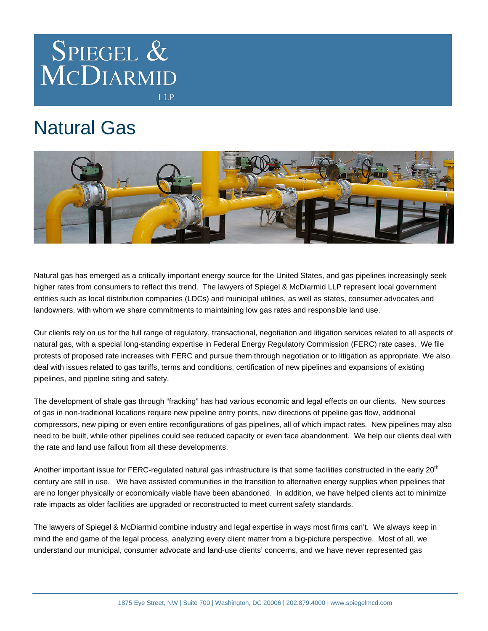

**LLP** 

## Natural Gas



Natural gas has emerged as a critically important energy source for the United States, and gas pipelines increasingly seek higher rates from consumers to reflect this trend. The lawyers of Spiegel & McDiarmid LLP represent local government entities such as local distribution companies (LDCs) and municipal utilities, as well as states, consumer advocates and landowners, with whom we share commitments to maintaining low gas rates and responsible land use.

Our clients rely on us for the full range of regulatory, transactional, negotiation and litigation services related to all aspects of natural gas, with a special long-standing expertise in Federal Energy Regulatory Commission (FERC) rate cases. We file protests of proposed rate increases with FERC and pursue them through negotiation or to litigation as appropriate. We also deal with issues related to gas tariffs, terms and conditions, certification of new pipelines and expansions of existing pipelines, and pipeline siting and safety.

The development of shale gas through "fracking" has had various economic and legal effects on our clients. New sources of gas in non-traditional locations require new pipeline entry points, new directions of pipeline gas flow, additional compressors, new piping or even entire reconfigurations of gas pipelines, all of which impact rates. New pipelines may also need to be built, while other pipelines could see reduced capacity or even face abandonment. We help our clients deal with the rate and land use fallout from all these developments.

Another important issue for FERC-regulated natural gas infrastructure is that some facilities constructed in the early 20<sup>th</sup> century are still in use. We have assisted communities in the transition to alternative energy supplies when pipelines that are no longer physically or economically viable have been abandoned. In addition, we have helped clients act to minimize rate impacts as older facilities are upgraded or reconstructed to meet current safety standards.

The lawyers of Spiegel & McDiarmid combine industry and legal expertise in ways most firms can't. We always keep in mind the end game of the legal process, analyzing every client matter from a big-picture perspective. Most of all, we understand our municipal, consumer advocate and land-use clients' concerns, and we have never represented gas